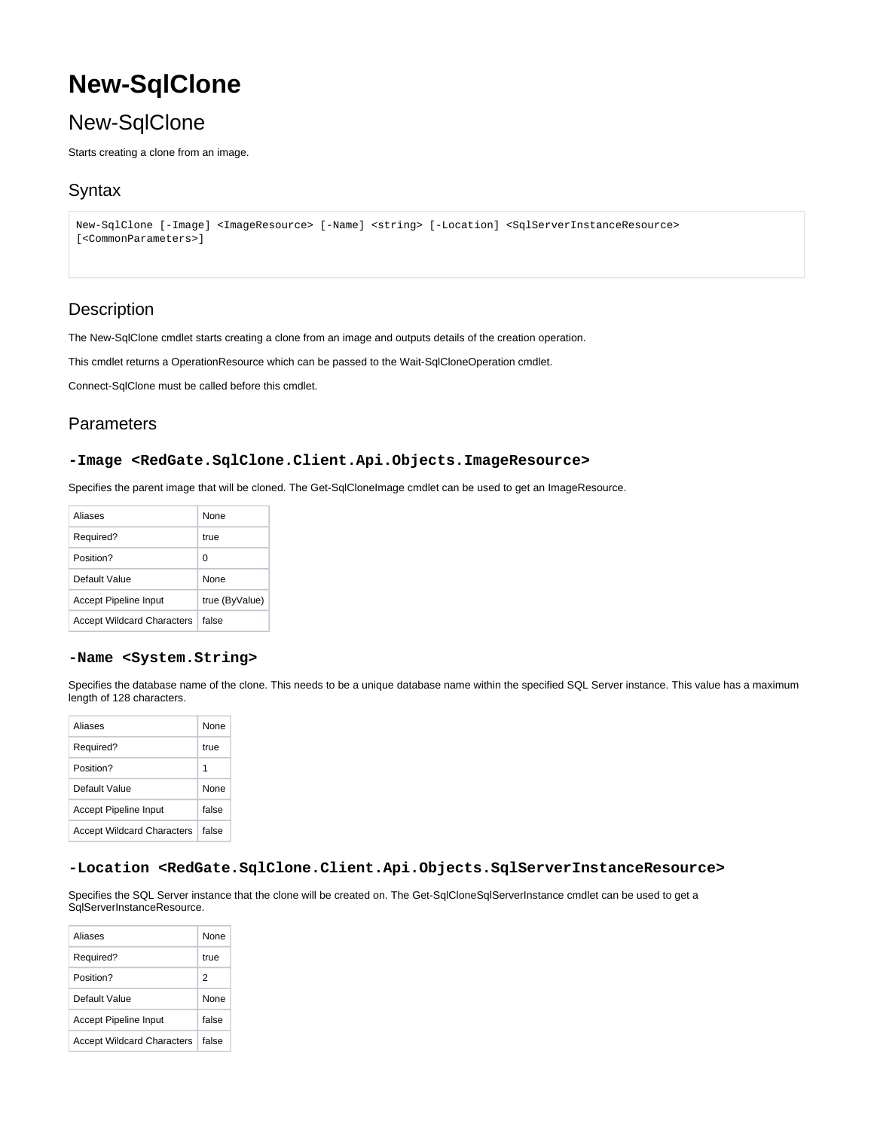# **New-SqlClone**

## New-SqlClone

Starts creating a clone from an image.

## **Syntax**

```
New-SqlClone [-Image] <ImageResource> [-Name] <string> [-Location] <SqlServerInstanceResource> 
[<CommonParameters>]
```
## **Description**

The New-SqlClone cmdlet starts creating a clone from an image and outputs details of the creation operation.

This cmdlet returns a OperationResource which can be passed to the Wait-SqlCloneOperation cmdlet.

Connect-SqlClone must be called before this cmdlet.

## **Parameters**

#### **-Image <RedGate.SqlClone.Client.Api.Objects.ImageResource>**

Specifies the parent image that will be cloned. The Get-SqlCloneImage cmdlet can be used to get an ImageResource.

| Aliases                           | None           |
|-----------------------------------|----------------|
| Required?                         | true           |
| Position?                         | ŋ              |
| Default Value                     | None           |
| Accept Pipeline Input             | true (ByValue) |
| <b>Accept Wildcard Characters</b> | false          |

#### **-Name <System.String>**

Specifies the database name of the clone. This needs to be a unique database name within the specified SQL Server instance. This value has a maximum length of 128 characters.

| Aliases                           | None  |
|-----------------------------------|-------|
| Required?                         | true  |
| Position?                         | 1     |
| Default Value                     | None  |
| Accept Pipeline Input             | false |
| <b>Accept Wildcard Characters</b> | false |

#### **-Location <RedGate.SqlClone.Client.Api.Objects.SqlServerInstanceResource>**

Specifies the SQL Server instance that the clone will be created on. The Get-SqlCloneSqlServerInstance cmdlet can be used to get a SqlServerInstanceResource.

| Aliases                           | None        |
|-----------------------------------|-------------|
| Required?                         | true        |
| Position?                         | 2           |
| Default Value                     | <b>None</b> |
| <b>Accept Pipeline Input</b>      | false       |
| <b>Accept Wildcard Characters</b> | false       |